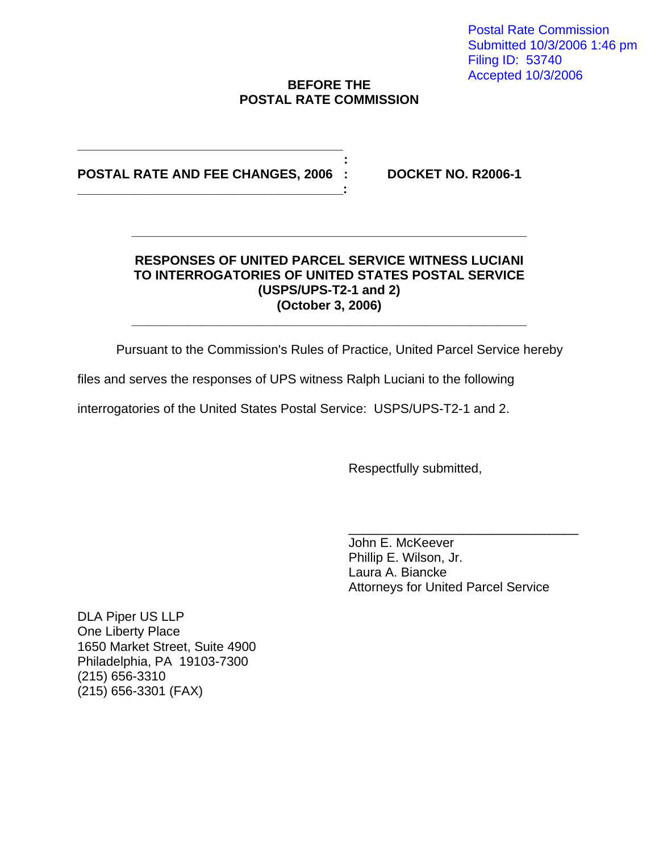Postal Rate Commission Submitted 10/3/2006 1:46 pm Filing ID: 53740 Accepted 10/3/2006

### **BEFORE THE POSTAL RATE COMMISSION**

### *: and the second contract of the second contract* **of the second contract of the second contract of the second contract of the second contract of the second contract of the second contract of the second contract of the s POSTAL RATE AND FEE CHANGES, 2006 : DOCKET NO. R2006-1**

**\_\_\_\_\_\_\_\_\_\_\_\_\_\_\_\_\_\_\_\_\_\_\_\_\_\_\_\_\_\_\_\_\_\_\_\_\_** 

### **RESPONSES OF UNITED PARCEL SERVICE WITNESS LUCIANI TO INTERROGATORIES OF UNITED STATES POSTAL SERVICE (USPS/UPS-T2-1 and 2) (October 3, 2006)**

**\_\_\_\_\_\_\_\_\_\_\_\_\_\_\_\_\_\_\_\_\_\_\_\_\_\_\_\_\_\_\_\_\_\_\_\_\_\_\_\_\_\_\_\_\_\_\_\_\_\_\_\_\_\_\_** 

**\_\_\_\_\_\_\_\_\_\_\_\_\_\_\_\_\_\_\_\_\_\_\_\_\_\_\_\_\_\_\_\_\_\_\_\_\_\_\_\_\_\_\_\_\_\_\_\_\_\_\_\_\_\_\_** 

Pursuant to the Commission's Rules of Practice, United Parcel Service hereby

files and serves the responses of UPS witness Ralph Luciani to the following

interrogatories of the United States Postal Service: USPS/UPS-T2-1 and 2.

Respectfully submitted,

John E. McKeever Phillip E. Wilson, Jr. Laura A. Biancke Attorneys for United Parcel Service

\_\_\_\_\_\_\_\_\_\_\_\_\_\_\_\_\_\_\_\_\_\_\_\_\_\_\_\_\_\_\_\_

DLA Piper US LLP One Liberty Place 1650 Market Street, Suite 4900 Philadelphia, PA 19103-7300 (215) 656-3310 (215) 656-3301 (FAX)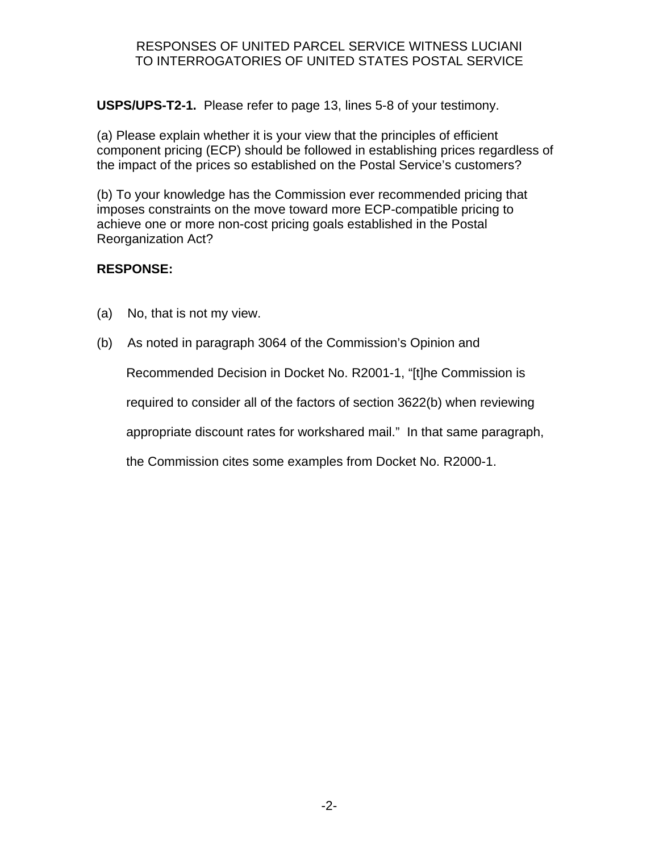### RESPONSES OF UNITED PARCEL SERVICE WITNESS LUCIANI TO INTERROGATORIES OF UNITED STATES POSTAL SERVICE

**USPS/UPS-T2-1.** Please refer to page 13, lines 5-8 of your testimony.

(a) Please explain whether it is your view that the principles of efficient component pricing (ECP) should be followed in establishing prices regardless of the impact of the prices so established on the Postal Service's customers?

(b) To your knowledge has the Commission ever recommended pricing that imposes constraints on the move toward more ECP-compatible pricing to achieve one or more non-cost pricing goals established in the Postal Reorganization Act?

# **RESPONSE:**

- (a) No, that is not my view.
- (b) As noted in paragraph 3064 of the Commission's Opinion and

Recommended Decision in Docket No. R2001-1, "[t]he Commission is

required to consider all of the factors of section 3622(b) when reviewing

appropriate discount rates for workshared mail." In that same paragraph,

the Commission cites some examples from Docket No. R2000-1.